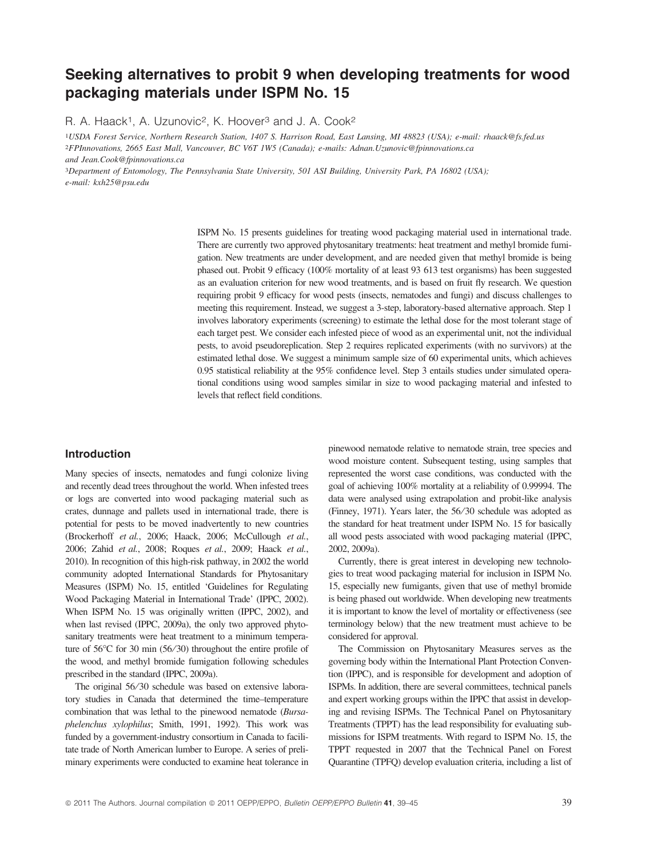# Seeking alternatives to probit 9 when developing treatments for wood packaging materials under ISPM No. 15

R. A. Haack<sup>1</sup>, A. Uzunovic<sup>2</sup>, K. Hoover<sup>3</sup> and J. A. Cook<sup>2</sup>

1USDA Forest Service, Northern Research Station, 1407 S. Harrison Road, East Lansing, MI 48823 (USA); e-mail: rhaack@fs.fed.us 2FPInnovations, 2665 East Mall, Vancouver, BC V6T 1W5 (Canada); e-mails: Adnan.Uzunovic@fpinnovations.ca and Jean.Cook@fpinnovations.ca

3Department of Entomology, The Pennsylvania State University, 501 ASI Building, University Park, PA 16802 (USA); e-mail: kxh25@psu.edu

> ISPM No. 15 presents guidelines for treating wood packaging material used in international trade. There are currently two approved phytosanitary treatments: heat treatment and methyl bromide fumigation. New treatments are under development, and are needed given that methyl bromide is being phased out. Probit 9 efficacy (100% mortality of at least 93 613 test organisms) has been suggested as an evaluation criterion for new wood treatments, and is based on fruit fly research. We question requiring probit 9 efficacy for wood pests (insects, nematodes and fungi) and discuss challenges to meeting this requirement. Instead, we suggest a 3-step, laboratory-based alternative approach. Step 1 involves laboratory experiments (screening) to estimate the lethal dose for the most tolerant stage of each target pest. We consider each infested piece of wood as an experimental unit, not the individual pests, to avoid pseudoreplication. Step 2 requires replicated experiments (with no survivors) at the estimated lethal dose. We suggest a minimum sample size of 60 experimental units, which achieves 0.95 statistical reliability at the 95% confidence level. Step 3 entails studies under simulated operational conditions using wood samples similar in size to wood packaging material and infested to levels that reflect field conditions.

# Introduction

Many species of insects, nematodes and fungi colonize living and recently dead trees throughout the world. When infested trees or logs are converted into wood packaging material such as crates, dunnage and pallets used in international trade, there is potential for pests to be moved inadvertently to new countries (Brockerhoff et al., 2006; Haack, 2006; McCullough et al., 2006; Zahid et al., 2008; Roques et al., 2009; Haack et al., 2010). In recognition of this high-risk pathway, in 2002 the world community adopted International Standards for Phytosanitary Measures (ISPM) No. 15, entitled 'Guidelines for Regulating Wood Packaging Material in International Trade' (IPPC, 2002). When ISPM No. 15 was originally written (IPPC, 2002), and when last revised (IPPC, 2009a), the only two approved phytosanitary treatments were heat treatment to a minimum temperature of 56°C for 30 min (56/30) throughout the entire profile of the wood, and methyl bromide fumigation following schedules prescribed in the standard (IPPC, 2009a).

The original 56/30 schedule was based on extensive laboratory studies in Canada that determined the time–temperature combination that was lethal to the pinewood nematode (Bursaphelenchus xylophilus; Smith, 1991, 1992). This work was funded by a government-industry consortium in Canada to facilitate trade of North American lumber to Europe. A series of preliminary experiments were conducted to examine heat tolerance in pinewood nematode relative to nematode strain, tree species and wood moisture content. Subsequent testing, using samples that represented the worst case conditions, was conducted with the goal of achieving 100% mortality at a reliability of 0.99994. The data were analysed using extrapolation and probit-like analysis (Finney, 1971). Years later, the 56 ⁄30 schedule was adopted as the standard for heat treatment under ISPM No. 15 for basically all wood pests associated with wood packaging material (IPPC, 2002, 2009a).

Currently, there is great interest in developing new technologies to treat wood packaging material for inclusion in ISPM No. 15, especially new fumigants, given that use of methyl bromide is being phased out worldwide. When developing new treatments it is important to know the level of mortality or effectiveness (see terminology below) that the new treatment must achieve to be considered for approval.

The Commission on Phytosanitary Measures serves as the governing body within the International Plant Protection Convention (IPPC), and is responsible for development and adoption of ISPMs. In addition, there are several committees, technical panels and expert working groups within the IPPC that assist in developing and revising ISPMs. The Technical Panel on Phytosanitary Treatments (TPPT) has the lead responsibility for evaluating submissions for ISPM treatments. With regard to ISPM No. 15, the TPPT requested in 2007 that the Technical Panel on Forest Quarantine (TPFQ) develop evaluation criteria, including a list of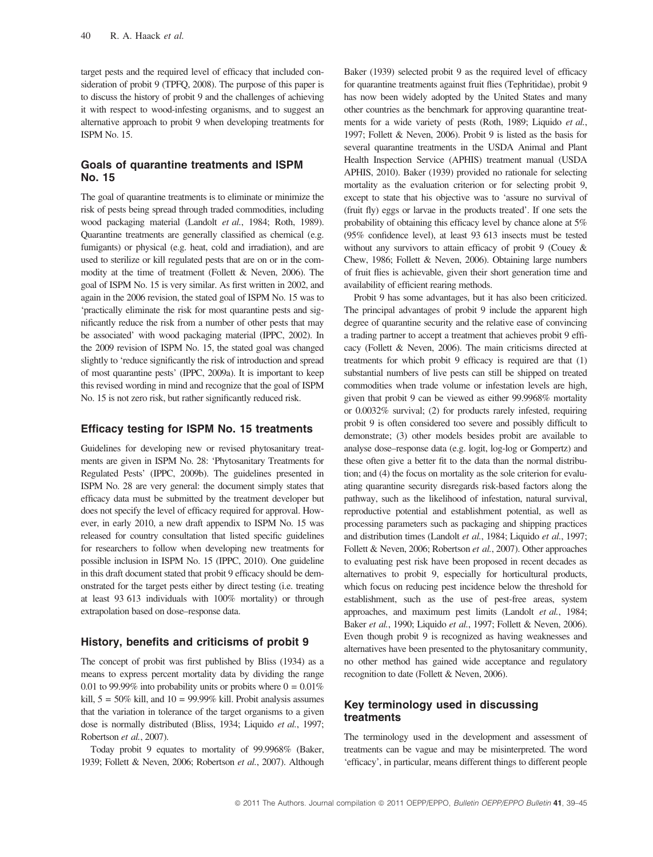target pests and the required level of efficacy that included consideration of probit 9 (TPFQ, 2008). The purpose of this paper is to discuss the history of probit 9 and the challenges of achieving it with respect to wood-infesting organisms, and to suggest an alternative approach to probit 9 when developing treatments for ISPM No. 15.

# Goals of quarantine treatments and ISPM No. 15

The goal of quarantine treatments is to eliminate or minimize the risk of pests being spread through traded commodities, including wood packaging material (Landolt et al., 1984; Roth, 1989). Quarantine treatments are generally classified as chemical (e.g. fumigants) or physical (e.g. heat, cold and irradiation), and are used to sterilize or kill regulated pests that are on or in the commodity at the time of treatment (Follett & Neven, 2006). The goal of ISPM No. 15 is very similar. As first written in 2002, and again in the 2006 revision, the stated goal of ISPM No. 15 was to 'practically eliminate the risk for most quarantine pests and significantly reduce the risk from a number of other pests that may be associated' with wood packaging material (IPPC, 2002). In the 2009 revision of ISPM No. 15, the stated goal was changed slightly to 'reduce significantly the risk of introduction and spread of most quarantine pests' (IPPC, 2009a). It is important to keep this revised wording in mind and recognize that the goal of ISPM No. 15 is not zero risk, but rather significantly reduced risk.

## Efficacy testing for ISPM No. 15 treatments

Guidelines for developing new or revised phytosanitary treatments are given in ISPM No. 28: 'Phytosanitary Treatments for Regulated Pests' (IPPC, 2009b). The guidelines presented in ISPM No. 28 are very general: the document simply states that efficacy data must be submitted by the treatment developer but does not specify the level of efficacy required for approval. However, in early 2010, a new draft appendix to ISPM No. 15 was released for country consultation that listed specific guidelines for researchers to follow when developing new treatments for possible inclusion in ISPM No. 15 (IPPC, 2010). One guideline in this draft document stated that probit 9 efficacy should be demonstrated for the target pests either by direct testing (i.e. treating at least 93 613 individuals with 100% mortality) or through extrapolation based on dose–response data.

#### History, benefits and criticisms of probit 9

The concept of probit was first published by Bliss (1934) as a means to express percent mortality data by dividing the range 0.01 to 99.99% into probability units or probits where  $0 = 0.01\%$ kill,  $5 = 50\%$  kill, and  $10 = 99.99\%$  kill. Probit analysis assumes that the variation in tolerance of the target organisms to a given dose is normally distributed (Bliss, 1934; Liquido et al., 1997; Robertson et al., 2007).

Today probit 9 equates to mortality of 99.9968% (Baker, 1939; Follett & Neven, 2006; Robertson et al., 2007). Although Baker (1939) selected probit 9 as the required level of efficacy for quarantine treatments against fruit flies (Tephritidae), probit 9 has now been widely adopted by the United States and many other countries as the benchmark for approving quarantine treatments for a wide variety of pests (Roth, 1989; Liquido et al., 1997; Follett & Neven, 2006). Probit 9 is listed as the basis for several quarantine treatments in the USDA Animal and Plant Health Inspection Service (APHIS) treatment manual (USDA APHIS, 2010). Baker (1939) provided no rationale for selecting mortality as the evaluation criterion or for selecting probit 9, except to state that his objective was to 'assure no survival of (fruit fly) eggs or larvae in the products treated'. If one sets the probability of obtaining this efficacy level by chance alone at 5% (95% confidence level), at least 93 613 insects must be tested without any survivors to attain efficacy of probit 9 (Couey & Chew, 1986; Follett & Neven, 2006). Obtaining large numbers of fruit flies is achievable, given their short generation time and availability of efficient rearing methods.

Probit 9 has some advantages, but it has also been criticized. The principal advantages of probit 9 include the apparent high degree of quarantine security and the relative ease of convincing a trading partner to accept a treatment that achieves probit 9 efficacy (Follett & Neven, 2006). The main criticisms directed at treatments for which probit 9 efficacy is required are that (1) substantial numbers of live pests can still be shipped on treated commodities when trade volume or infestation levels are high, given that probit 9 can be viewed as either 99.9968% mortality or 0.0032% survival; (2) for products rarely infested, requiring probit 9 is often considered too severe and possibly difficult to demonstrate; (3) other models besides probit are available to analyse dose–response data (e.g. logit, log-log or Gompertz) and these often give a better fit to the data than the normal distribution; and (4) the focus on mortality as the sole criterion for evaluating quarantine security disregards risk-based factors along the pathway, such as the likelihood of infestation, natural survival, reproductive potential and establishment potential, as well as processing parameters such as packaging and shipping practices and distribution times (Landolt et al., 1984; Liquido et al., 1997; Follett & Neven, 2006; Robertson et al., 2007). Other approaches to evaluating pest risk have been proposed in recent decades as alternatives to probit 9, especially for horticultural products, which focus on reducing pest incidence below the threshold for establishment, such as the use of pest-free areas, system approaches, and maximum pest limits (Landolt et al., 1984; Baker et al., 1990; Liquido et al., 1997; Follett & Neven, 2006). Even though probit 9 is recognized as having weaknesses and alternatives have been presented to the phytosanitary community, no other method has gained wide acceptance and regulatory recognition to date (Follett & Neven, 2006).

# Key terminology used in discussing treatments

The terminology used in the development and assessment of treatments can be vague and may be misinterpreted. The word 'efficacy', in particular, means different things to different people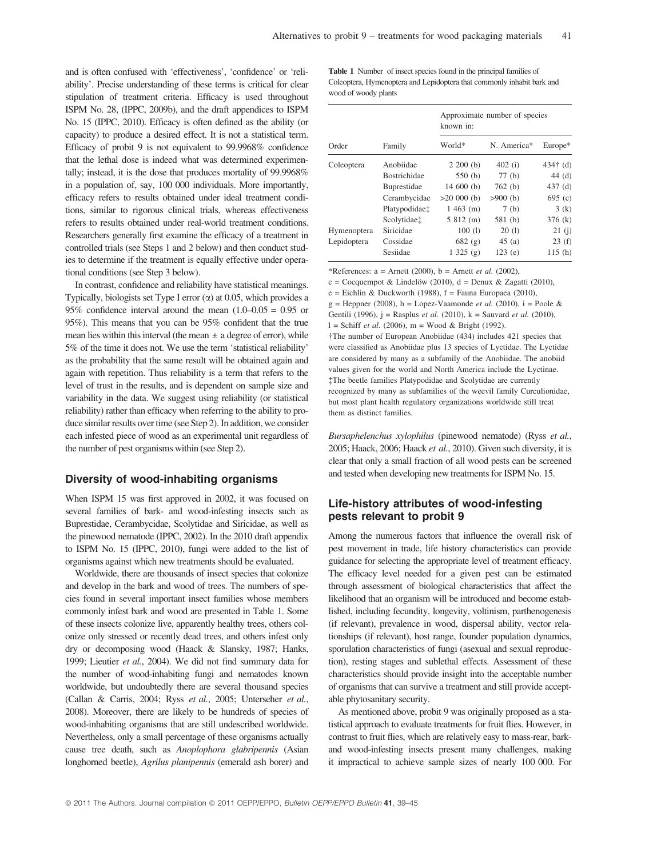and is often confused with 'effectiveness', 'confidence' or 'reliability'. Precise understanding of these terms is critical for clear stipulation of treatment criteria. Efficacy is used throughout ISPM No. 28, (IPPC, 2009b), and the draft appendices to ISPM No. 15 (IPPC, 2010). Efficacy is often defined as the ability (or capacity) to produce a desired effect. It is not a statistical term. Efficacy of probit 9 is not equivalent to 99.9968% confidence that the lethal dose is indeed what was determined experimentally; instead, it is the dose that produces mortality of 99.9968% in a population of, say, 100 000 individuals. More importantly, efficacy refers to results obtained under ideal treatment conditions, similar to rigorous clinical trials, whereas effectiveness refers to results obtained under real-world treatment conditions. Researchers generally first examine the efficacy of a treatment in controlled trials (see Steps 1 and 2 below) and then conduct studies to determine if the treatment is equally effective under operational conditions (see Step 3 below).

In contrast, confidence and reliability have statistical meanings. Typically, biologists set Type I error  $(\alpha)$  at 0.05, which provides a 95% confidence interval around the mean  $(1.0-0.05 = 0.95)$  or 95%). This means that you can be 95% confident that the true mean lies within this interval (the mean  $\pm$  a degree of error), while 5% of the time it does not. We use the term 'statistical reliability' as the probability that the same result will be obtained again and again with repetition. Thus reliability is a term that refers to the level of trust in the results, and is dependent on sample size and variability in the data. We suggest using reliability (or statistical reliability) rather than efficacy when referring to the ability to produce similar results over time (see Step 2). In addition, we consider each infested piece of wood as an experimental unit regardless of the number of pest organisms within (see Step 2).

#### Diversity of wood-inhabiting organisms

When ISPM 15 was first approved in 2002, it was focused on several families of bark- and wood-infesting insects such as Buprestidae, Cerambycidae, Scolytidae and Siricidae, as well as the pinewood nematode (IPPC, 2002). In the 2010 draft appendix to ISPM No. 15 (IPPC, 2010), fungi were added to the list of organisms against which new treatments should be evaluated.

Worldwide, there are thousands of insect species that colonize and develop in the bark and wood of trees. The numbers of species found in several important insect families whose members commonly infest bark and wood are presented in Table 1. Some of these insects colonize live, apparently healthy trees, others colonize only stressed or recently dead trees, and others infest only dry or decomposing wood (Haack & Slansky, 1987; Hanks, 1999; Lieutier et al., 2004). We did not find summary data for the number of wood-inhabiting fungi and nematodes known worldwide, but undoubtedly there are several thousand species (Callan & Carris, 2004; Ryss et al., 2005; Unterseher et al., 2008). Moreover, there are likely to be hundreds of species of wood-inhabiting organisms that are still undescribed worldwide. Nevertheless, only a small percentage of these organisms actually cause tree death, such as Anoplophora glabripennis (Asian longhorned beetle), Agrilus planipennis (emerald ash borer) and

Table 1 Number of insect species found in the principal families of Coleoptera, Hymenoptera and Lepidoptera that commonly inhabit bark and wood of woody plants

| Order       | Family                    | Approximate number of species<br>known in: |             |            |
|-------------|---------------------------|--------------------------------------------|-------------|------------|
|             |                           | World*                                     | N. America* | $Europe*$  |
| Coleoptera  | Anobiidae                 | $2,200$ (b)                                | 402(i)      | $434†$ (d) |
|             | <b>Bostrichidae</b>       | 550(b)                                     | 77(b)       | 44(d)      |
|             | Buprestidae               | 14600(b)                                   | 762(b)      | 437 $(d)$  |
|             | Cerambycidae              | $>20000$ (b)                               | $>900$ (b)  | 695(c)     |
|             | Platypodidae <sup>†</sup> | $1463$ (m)                                 | 7(b)        | 3(k)       |
|             | Scolytidae <sup>†</sup>   | 5812(m)                                    | 581 (b)     | 376(k)     |
| Hymenoptera | Siricidae                 | 100(1)                                     | 20(1)       | 21(i)      |
| Lepidoptera | Cossidae                  | 682(g)                                     | 45(a)       | 23(f)      |
|             | Sesiidae                  | 1325(g)                                    | 123(e)      | 115(h)     |

\*References:  $a =$  Arnett (2000),  $b =$  Arnett *et al.* (2002),

c = Cocquempot & Lindelöw (2010), d = Denux & Zagatti (2010),  $e =$  Eichlin & Duckworth (1988),  $f =$  Fauna Europaea (2010), g = Heppner (2008), h = Lopez-Vaamonde *et al.* (2010), i = Poole & Gentili (1996), j = Rasplus et al. (2010), k = Sauvard et al. (2010),  $l =$  Schiff *et al.* (2006), m = Wood & Bright (1992). -The number of European Anobiidae (434) includes 421 species that were classified as Anobiidae plus 13 species of Lyctidae. The Lyctidae are considered by many as a subfamily of the Anobiidae. The anobiid values given for the world and North America include the Lyctinae. The beetle families Platypodidae and Scolytidae are currently recognized by many as subfamilies of the weevil family Curculionidae, but most plant health regulatory organizations worldwide still treat them as distinct families.

Bursaphelenchus xylophilus (pinewood nematode) (Ryss et al., 2005; Haack, 2006; Haack et al., 2010). Given such diversity, it is clear that only a small fraction of all wood pests can be screened and tested when developing new treatments for ISPM No. 15.

# Life-history attributes of wood-infesting pests relevant to probit 9

Among the numerous factors that influence the overall risk of pest movement in trade, life history characteristics can provide guidance for selecting the appropriate level of treatment efficacy. The efficacy level needed for a given pest can be estimated through assessment of biological characteristics that affect the likelihood that an organism will be introduced and become established, including fecundity, longevity, voltinism, parthenogenesis (if relevant), prevalence in wood, dispersal ability, vector relationships (if relevant), host range, founder population dynamics, sporulation characteristics of fungi (asexual and sexual reproduction), resting stages and sublethal effects. Assessment of these characteristics should provide insight into the acceptable number of organisms that can survive a treatment and still provide acceptable phytosanitary security.

As mentioned above, probit 9 was originally proposed as a statistical approach to evaluate treatments for fruit flies. However, in contrast to fruit flies, which are relatively easy to mass-rear, barkand wood-infesting insects present many challenges, making it impractical to achieve sample sizes of nearly 100 000. For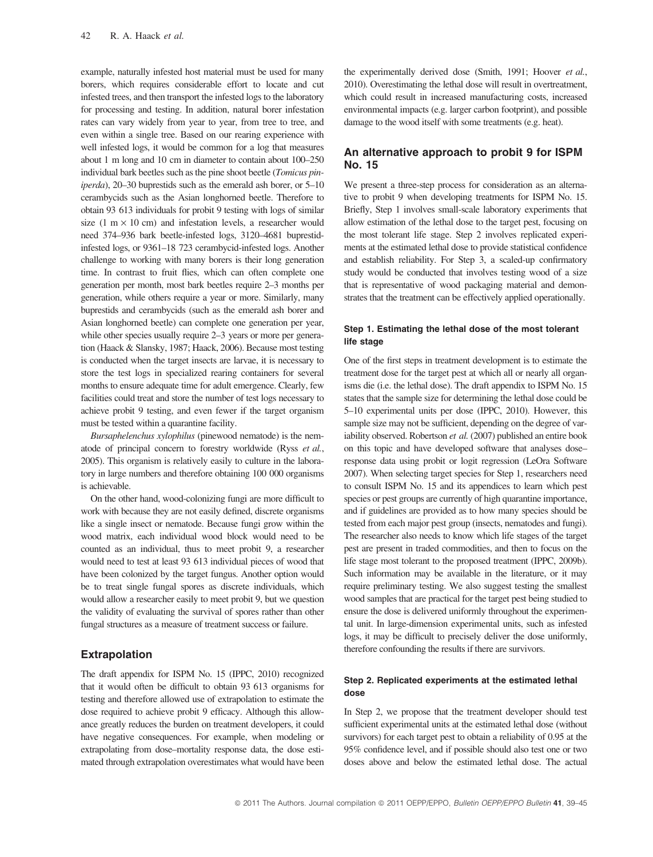example, naturally infested host material must be used for many borers, which requires considerable effort to locate and cut infested trees, and then transport the infested logs to the laboratory for processing and testing. In addition, natural borer infestation rates can vary widely from year to year, from tree to tree, and even within a single tree. Based on our rearing experience with well infested logs, it would be common for a log that measures about 1 m long and 10 cm in diameter to contain about 100–250 individual bark beetles such as the pine shoot beetle (Tomicus piniperda), 20–30 buprestids such as the emerald ash borer, or 5–10 cerambycids such as the Asian longhorned beetle. Therefore to obtain 93 613 individuals for probit 9 testing with logs of similar size (1 m  $\times$  10 cm) and infestation levels, a researcher would need 374–936 bark beetle-infested logs, 3120–4681 buprestidinfested logs, or 9361–18 723 cerambycid-infested logs. Another challenge to working with many borers is their long generation time. In contrast to fruit flies, which can often complete one generation per month, most bark beetles require 2–3 months per generation, while others require a year or more. Similarly, many buprestids and cerambycids (such as the emerald ash borer and Asian longhorned beetle) can complete one generation per year, while other species usually require 2–3 years or more per generation (Haack & Slansky, 1987; Haack, 2006). Because most testing is conducted when the target insects are larvae, it is necessary to store the test logs in specialized rearing containers for several months to ensure adequate time for adult emergence. Clearly, few facilities could treat and store the number of test logs necessary to achieve probit 9 testing, and even fewer if the target organism must be tested within a quarantine facility.

Bursaphelenchus xylophilus (pinewood nematode) is the nematode of principal concern to forestry worldwide (Ryss et al., 2005). This organism is relatively easily to culture in the laboratory in large numbers and therefore obtaining 100 000 organisms is achievable.

On the other hand, wood-colonizing fungi are more difficult to work with because they are not easily defined, discrete organisms like a single insect or nematode. Because fungi grow within the wood matrix, each individual wood block would need to be counted as an individual, thus to meet probit 9, a researcher would need to test at least 93 613 individual pieces of wood that have been colonized by the target fungus. Another option would be to treat single fungal spores as discrete individuals, which would allow a researcher easily to meet probit 9, but we question the validity of evaluating the survival of spores rather than other fungal structures as a measure of treatment success or failure.

# Extrapolation

The draft appendix for ISPM No. 15 (IPPC, 2010) recognized that it would often be difficult to obtain 93 613 organisms for testing and therefore allowed use of extrapolation to estimate the dose required to achieve probit 9 efficacy. Although this allowance greatly reduces the burden on treatment developers, it could have negative consequences. For example, when modeling or extrapolating from dose–mortality response data, the dose estimated through extrapolation overestimates what would have been

the experimentally derived dose (Smith, 1991; Hoover et al., 2010). Overestimating the lethal dose will result in overtreatment, which could result in increased manufacturing costs, increased environmental impacts (e.g. larger carbon footprint), and possible damage to the wood itself with some treatments (e.g. heat).

# An alternative approach to probit 9 for ISPM No. 15

We present a three-step process for consideration as an alternative to probit 9 when developing treatments for ISPM No. 15. Briefly, Step 1 involves small-scale laboratory experiments that allow estimation of the lethal dose to the target pest, focusing on the most tolerant life stage. Step 2 involves replicated experiments at the estimated lethal dose to provide statistical confidence and establish reliability. For Step 3, a scaled-up confirmatory study would be conducted that involves testing wood of a size that is representative of wood packaging material and demonstrates that the treatment can be effectively applied operationally.

#### Step 1. Estimating the lethal dose of the most tolerant life stage

One of the first steps in treatment development is to estimate the treatment dose for the target pest at which all or nearly all organisms die (i.e. the lethal dose). The draft appendix to ISPM No. 15 states that the sample size for determining the lethal dose could be 5–10 experimental units per dose (IPPC, 2010). However, this sample size may not be sufficient, depending on the degree of variability observed. Robertson et al. (2007) published an entire book on this topic and have developed software that analyses dose– response data using probit or logit regression (LeOra Software 2007). When selecting target species for Step 1, researchers need to consult ISPM No. 15 and its appendices to learn which pest species or pest groups are currently of high quarantine importance, and if guidelines are provided as to how many species should be tested from each major pest group (insects, nematodes and fungi). The researcher also needs to know which life stages of the target pest are present in traded commodities, and then to focus on the life stage most tolerant to the proposed treatment (IPPC, 2009b). Such information may be available in the literature, or it may require preliminary testing. We also suggest testing the smallest wood samples that are practical for the target pest being studied to ensure the dose is delivered uniformly throughout the experimental unit. In large-dimension experimental units, such as infested logs, it may be difficult to precisely deliver the dose uniformly, therefore confounding the results if there are survivors.

#### Step 2. Replicated experiments at the estimated lethal dose

In Step 2, we propose that the treatment developer should test sufficient experimental units at the estimated lethal dose (without survivors) for each target pest to obtain a reliability of 0.95 at the 95% confidence level, and if possible should also test one or two doses above and below the estimated lethal dose. The actual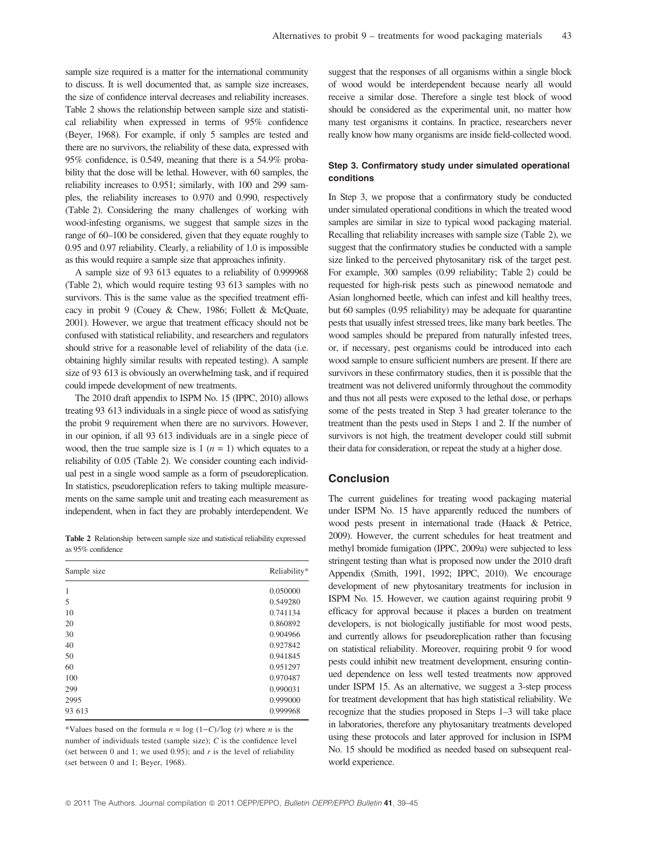sample size required is a matter for the international community to discuss. It is well documented that, as sample size increases, the size of confidence interval decreases and reliability increases. Table 2 shows the relationship between sample size and statistical reliability when expressed in terms of 95% confidence (Beyer, 1968). For example, if only 5 samples are tested and there are no survivors, the reliability of these data, expressed with 95% confidence, is 0.549, meaning that there is a 54.9% probability that the dose will be lethal. However, with 60 samples, the reliability increases to 0.951; similarly, with 100 and 299 samples, the reliability increases to 0.970 and 0.990, respectively (Table 2). Considering the many challenges of working with wood-infesting organisms, we suggest that sample sizes in the range of 60–100 be considered, given that they equate roughly to 0.95 and 0.97 reliability. Clearly, a reliability of 1.0 is impossible as this would require a sample size that approaches infinity.

A sample size of 93 613 equates to a reliability of 0.999968 (Table 2), which would require testing 93 613 samples with no survivors. This is the same value as the specified treatment efficacy in probit 9 (Couey & Chew, 1986; Follett & McQuate, 2001). However, we argue that treatment efficacy should not be confused with statistical reliability, and researchers and regulators should strive for a reasonable level of reliability of the data (i.e. obtaining highly similar results with repeated testing). A sample size of 93 613 is obviously an overwhelming task, and if required could impede development of new treatments.

The 2010 draft appendix to ISPM No. 15 (IPPC, 2010) allows treating 93 613 individuals in a single piece of wood as satisfying the probit 9 requirement when there are no survivors. However, in our opinion, if all 93 613 individuals are in a single piece of wood, then the true sample size is  $1 (n = 1)$  which equates to a reliability of 0.05 (Table 2). We consider counting each individual pest in a single wood sample as a form of pseudoreplication. In statistics, pseudoreplication refers to taking multiple measurements on the same sample unit and treating each measurement as independent, when in fact they are probably interdependent. We

Table 2 Relationship between sample size and statistical reliability expressed as 95% confidence

| Sample size | Reliability* |  |
|-------------|--------------|--|
| 1           | 0.050000     |  |
| 5           | 0.549280     |  |
| 10          | 0.741134     |  |
| 20          | 0.860892     |  |
| 30          | 0.904966     |  |
| 40          | 0.927842     |  |
| 50          | 0.941845     |  |
| 60          | 0.951297     |  |
| 100         | 0.970487     |  |
| 299         | 0.990031     |  |
| 2995        | 0.999000     |  |
| 93 613      | 0.999968     |  |
|             |              |  |

\*Values based on the formula  $n = \log (1 - C)/\log (r)$  where n is the number of individuals tested (sample size); C is the confidence level (set between 0 and 1; we used 0.95); and  $r$  is the level of reliability (set between 0 and 1; Beyer, 1968).

suggest that the responses of all organisms within a single block of wood would be interdependent because nearly all would receive a similar dose. Therefore a single test block of wood should be considered as the experimental unit, no matter how many test organisms it contains. In practice, researchers never really know how many organisms are inside field-collected wood.

#### Step 3. Confirmatory study under simulated operational conditions

In Step 3, we propose that a confirmatory study be conducted under simulated operational conditions in which the treated wood samples are similar in size to typical wood packaging material. Recalling that reliability increases with sample size (Table 2), we suggest that the confirmatory studies be conducted with a sample size linked to the perceived phytosanitary risk of the target pest. For example, 300 samples (0.99 reliability; Table 2) could be requested for high-risk pests such as pinewood nematode and Asian longhorned beetle, which can infest and kill healthy trees, but 60 samples (0.95 reliability) may be adequate for quarantine pests that usually infest stressed trees, like many bark beetles. The wood samples should be prepared from naturally infested trees, or, if necessary, pest organisms could be introduced into each wood sample to ensure sufficient numbers are present. If there are survivors in these confirmatory studies, then it is possible that the treatment was not delivered uniformly throughout the commodity and thus not all pests were exposed to the lethal dose, or perhaps some of the pests treated in Step 3 had greater tolerance to the treatment than the pests used in Steps 1 and 2. If the number of survivors is not high, the treatment developer could still submit their data for consideration, or repeat the study at a higher dose.

#### Conclusion

The current guidelines for treating wood packaging material under ISPM No. 15 have apparently reduced the numbers of wood pests present in international trade (Haack & Petrice, 2009). However, the current schedules for heat treatment and methyl bromide fumigation (IPPC, 2009a) were subjected to less stringent testing than what is proposed now under the 2010 draft Appendix (Smith, 1991, 1992; IPPC, 2010). We encourage development of new phytosanitary treatments for inclusion in ISPM No. 15. However, we caution against requiring probit 9 efficacy for approval because it places a burden on treatment developers, is not biologically justifiable for most wood pests, and currently allows for pseudoreplication rather than focusing on statistical reliability. Moreover, requiring probit 9 for wood pests could inhibit new treatment development, ensuring continued dependence on less well tested treatments now approved under ISPM 15. As an alternative, we suggest a 3-step process for treatment development that has high statistical reliability. We recognize that the studies proposed in Steps 1–3 will take place in laboratories, therefore any phytosanitary treatments developed using these protocols and later approved for inclusion in ISPM No. 15 should be modified as needed based on subsequent realworld experience.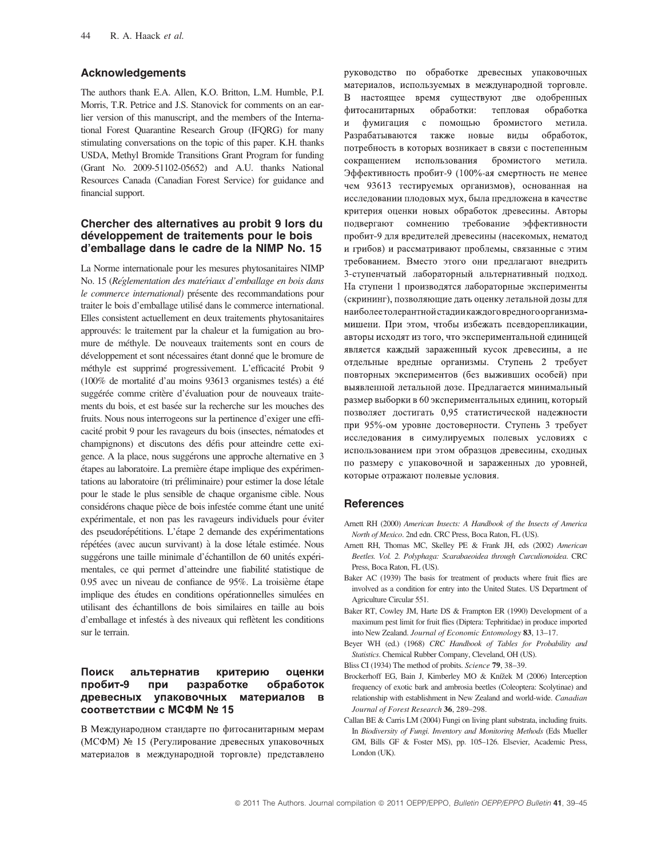#### Acknowledgements

The authors thank E.A. Allen, K.O. Britton, L.M. Humble, P.I. Morris, T.R. Petrice and J.S. Stanovick for comments on an earlier version of this manuscript, and the members of the International Forest Quarantine Research Group (IFQRG) for many stimulating conversations on the topic of this paper. K.H. thanks USDA, Methyl Bromide Transitions Grant Program for funding (Grant No. 2009-51102-05652) and A.U. thanks National Resources Canada (Canadian Forest Service) for guidance and financial support.

# Chercher des alternatives au probit 9 lors du développement de traitements pour le bois d'emballage dans le cadre de la NIMP No. 15

La Norme internationale pour les mesures phytosanitaires NIMP No. 15 (Réglementation des matériaux d'emballage en bois dans le commerce international) présente des recommandations pour traiter le bois d'emballage utilisé dans le commerce international. Elles consistent actuellement en deux traitements phytosanitaires approuvés: le traitement par la chaleur et la fumigation au bromure de méthyle. De nouveaux traitements sont en cours de développement et sont nécessaires étant donné que le bromure de méthyle est supprimé progressivement. L'efficacité Probit 9  $(100\%$  de mortalité d'au moins 93613 organismes testés) a été suggérée comme critère d'évaluation pour de nouveaux traitements du bois, et est basée sur la recherche sur les mouches des fruits. Nous nous interrogeons sur la pertinence d'exiger une efficacité probit 9 pour les ravageurs du bois (insectes, nématodes et champignons) et discutons des défis pour atteindre cette exigence. A la place, nous suggérons une approche alternative en 3 étapes au laboratoire. La première étape implique des expérimentations au laboratoire (tri préliminaire) pour estimer la dose létale pour le stade le plus sensible de chaque organisme cible. Nous considérons chaque pièce de bois infestée comme étant une unité expérimentale, et non pas les ravageurs individuels pour éviter des pseudorépétitions. L'étape 2 demande des expérimentations répétées (avec aucun survivant) à la dose létale estimée. Nous suggérons une taille minimale d'échantillon de 60 unités expérimentales, ce qui permet d'atteindre une fiabilité statistique de 0.95 avec un niveau de confiance de 95%. La troisième étape implique des études en conditions opérationnelles simulées en utilisant des échantillons de bois similaires en taille au bois d'emballage et infestés à des niveaux qui reflètent les conditions sur le terrain.

#### Поиск альтернатив критерию оценки пробит-9 при разработке обработок древесных упаковочных материалов в соответствии с МСФМ № 15

В Международном стандарте по фитосанитарным мерам (МСФМ) № 15 (Регулирование древесных упаковочных материалов в международной торговле) представлено руководство по обработке древесных упаковочных материалов, используемых в международной торговле. В настоящее время существуют две одобренных фитосанитарных обработки: обработка тепловая фумигация с помощью бромистого метила.  $\overline{M}$ Разрабатываются также новые виды обработок, потребность в которых возникает в связи с постепенным сокращением использования бромистого метила. Эффективность пробит-9 (100%-ая смертность не менее чем 93613 тестируемых организмов), основанная на исследовании плодовых мух, была предложена в качестве критерия оценки новых обработок древесины. Авторы подвергают сомнению требование эффективности пробит-9 для вредителей древесины (насекомых, нематод и грибов) и рассматривают проблемы, связанные с этим требованием. Вместо этого они предлагают внедрить 3-ступенчатый лабораторный альтернативный подход. На ступени 1 производятся лабораторные эксперименты (скрининг), позволяющие дать оценку летальной дозы для наиболее толерантной стадии каждого вредного организмамишени. При этом, чтобы избежать псевдорепликации, авторы исходят из того, что экспериментальной единицей является каждый зараженный кусок древесины, а не отдельные вредные организмы. Ступень 2 требует повторных экспериментов (без выживших особей) при выявленной летальной дозе. Предлагается минимальный размер выборки в 60 экспериментальных единиц, который позволяет достигать 0,95 статистической надежности при 95%-ом уровне достоверности. Ступень 3 требует исследования в симулируемых полевых условиях с использованием при этом образцов древесины, сходных по размеру с упаковочной и зараженных до уровней, которые отражают полевые условия.

# **References**

- Arnett RH (2000) American Insects: A Handbook of the Insects of America North of Mexico. 2nd edn. CRC Press, Boca Raton, FL (US).
- Arnett RH, Thomas MC, Skelley PE & Frank JH, eds (2002) American Beetles. Vol. 2. Polyphaga: Scarabaeoidea through Curculionoidea. CRC Press, Boca Raton, FL (US).
- Baker AC (1939) The basis for treatment of products where fruit flies are involved as a condition for entry into the United States. US Department of Agriculture Circular 551.
- Baker RT, Cowley JM, Harte DS & Frampton ER (1990) Development of a maximum pest limit for fruit flies (Diptera: Tephritidae) in produce imported into New Zealand. Journal of Economic Entomology 83, 13–17.
- Beyer WH (ed.) (1968) CRC Handbook of Tables for Probability and Statistics. Chemical Rubber Company, Cleveland, OH (US).
- Bliss CI (1934) The method of probits. Science 79, 38–39.
- Brockerhoff EG, Bain J, Kimberley MO & Knížek M (2006) Interception frequency of exotic bark and ambrosia beetles (Coleoptera: Scolytinae) and relationship with establishment in New Zealand and world-wide. Canadian Journal of Forest Research 36, 289–298.
- Callan BE & Carris LM (2004) Fungi on living plant substrata, including fruits. In Biodiversity of Fungi. Inventory and Monitoring Methods (Eds Mueller GM, Bills GF & Foster MS), pp. 105–126. Elsevier, Academic Press, London (UK).